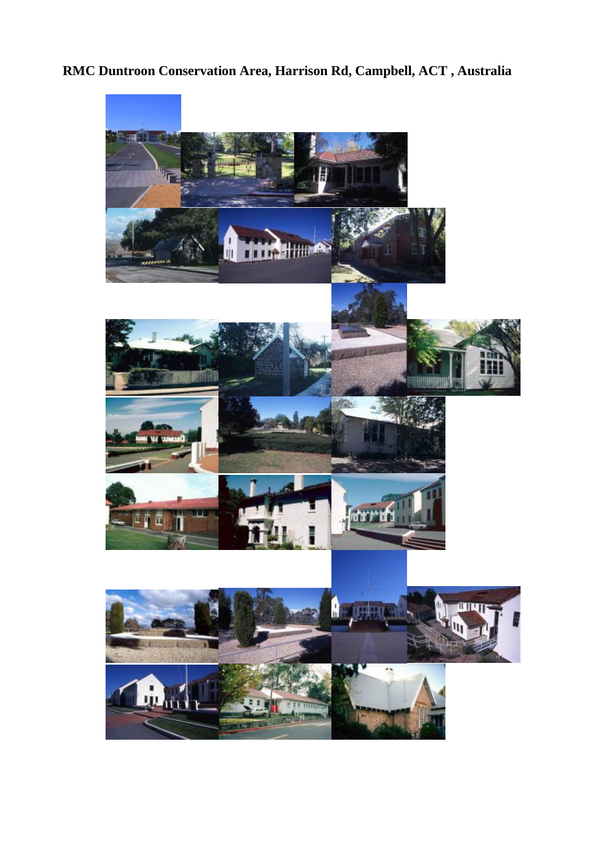**RMC Duntroon Conservation Area, Harrison Rd, Campbell, ACT , Australia** 

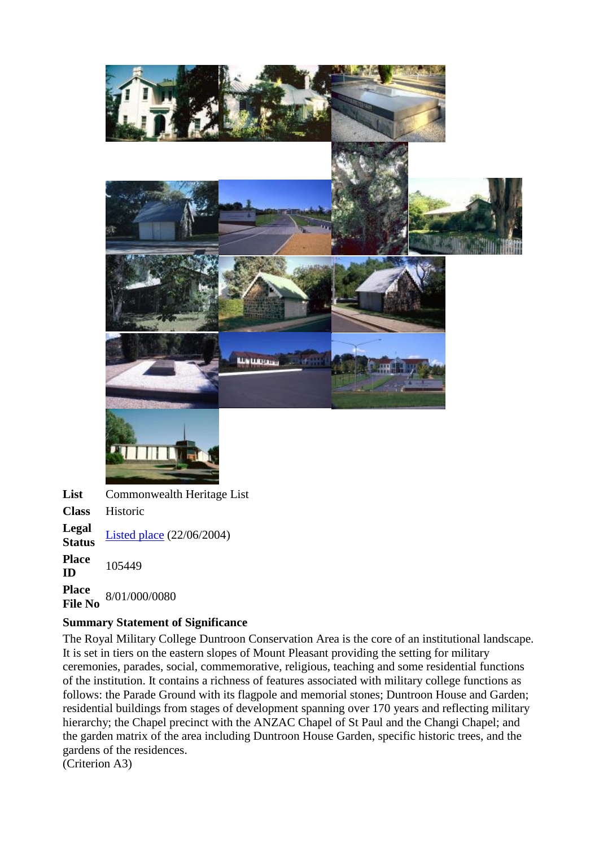

**List** Commonwealth Heritage List **Class** Historic **Legal Status** <u>[Listed place](http://www.environment.gov.au/heritage/ahdb/legalstatus.html)</u> (22/06/2004) **Place ID** 105449 **Place File No** 8/01/000/0080

# **Summary Statement of Significance**

The Royal Military College Duntroon Conservation Area is the core of an institutional landscape. It is set in tiers on the eastern slopes of Mount Pleasant providing the setting for military ceremonies, parades, social, commemorative, religious, teaching and some residential functions of the institution. It contains a richness of features associated with military college functions as follows: the Parade Ground with its flagpole and memorial stones; Duntroon House and Garden; residential buildings from stages of development spanning over 170 years and reflecting military hierarchy; the Chapel precinct with the ANZAC Chapel of St Paul and the Changi Chapel; and the garden matrix of the area including Duntroon House Garden, specific historic trees, and the gardens of the residences.

(Criterion A3)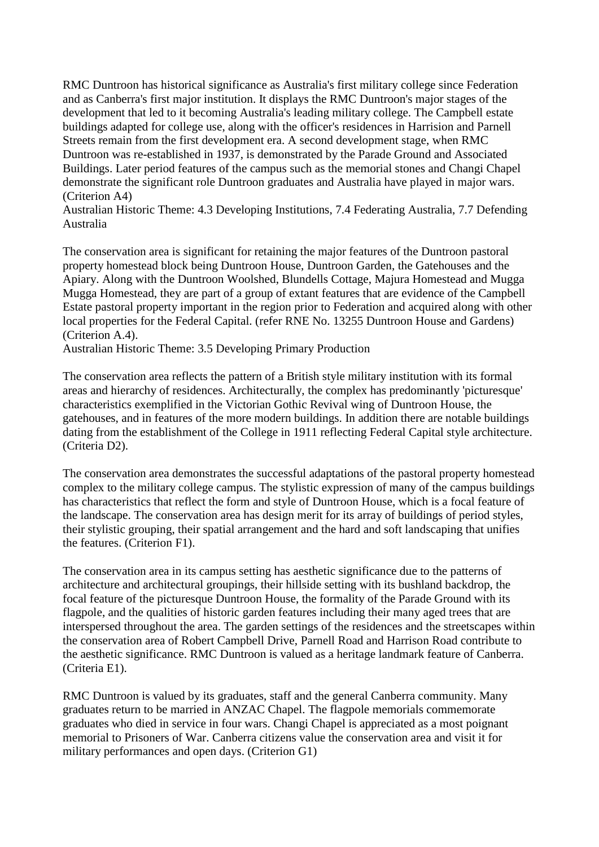RMC Duntroon has historical significance as Australia's first military college since Federation and as Canberra's first major institution. It displays the RMC Duntroon's major stages of the development that led to it becoming Australia's leading military college. The Campbell estate buildings adapted for college use, along with the officer's residences in Harrision and Parnell Streets remain from the first development era. A second development stage, when RMC Duntroon was re-established in 1937, is demonstrated by the Parade Ground and Associated Buildings. Later period features of the campus such as the memorial stones and Changi Chapel demonstrate the significant role Duntroon graduates and Australia have played in major wars. (Criterion A4)

Australian Historic Theme: 4.3 Developing Institutions, 7.4 Federating Australia, 7.7 Defending Australia

The conservation area is significant for retaining the major features of the Duntroon pastoral property homestead block being Duntroon House, Duntroon Garden, the Gatehouses and the Apiary. Along with the Duntroon Woolshed, Blundells Cottage, Majura Homestead and Mugga Mugga Homestead, they are part of a group of extant features that are evidence of the Campbell Estate pastoral property important in the region prior to Federation and acquired along with other local properties for the Federal Capital. (refer RNE No. 13255 Duntroon House and Gardens) (Criterion A.4).

Australian Historic Theme: 3.5 Developing Primary Production

The conservation area reflects the pattern of a British style military institution with its formal areas and hierarchy of residences. Architecturally, the complex has predominantly 'picturesque' characteristics exemplified in the Victorian Gothic Revival wing of Duntroon House, the gatehouses, and in features of the more modern buildings. In addition there are notable buildings dating from the establishment of the College in 1911 reflecting Federal Capital style architecture. (Criteria D2).

The conservation area demonstrates the successful adaptations of the pastoral property homestead complex to the military college campus. The stylistic expression of many of the campus buildings has characteristics that reflect the form and style of Duntroon House, which is a focal feature of the landscape. The conservation area has design merit for its array of buildings of period styles, their stylistic grouping, their spatial arrangement and the hard and soft landscaping that unifies the features. (Criterion F1).

The conservation area in its campus setting has aesthetic significance due to the patterns of architecture and architectural groupings, their hillside setting with its bushland backdrop, the focal feature of the picturesque Duntroon House, the formality of the Parade Ground with its flagpole, and the qualities of historic garden features including their many aged trees that are interspersed throughout the area. The garden settings of the residences and the streetscapes within the conservation area of Robert Campbell Drive, Parnell Road and Harrison Road contribute to the aesthetic significance. RMC Duntroon is valued as a heritage landmark feature of Canberra. (Criteria E1).

RMC Duntroon is valued by its graduates, staff and the general Canberra community. Many graduates return to be married in ANZAC Chapel. The flagpole memorials commemorate graduates who died in service in four wars. Changi Chapel is appreciated as a most poignant memorial to Prisoners of War. Canberra citizens value the conservation area and visit it for military performances and open days. (Criterion G1)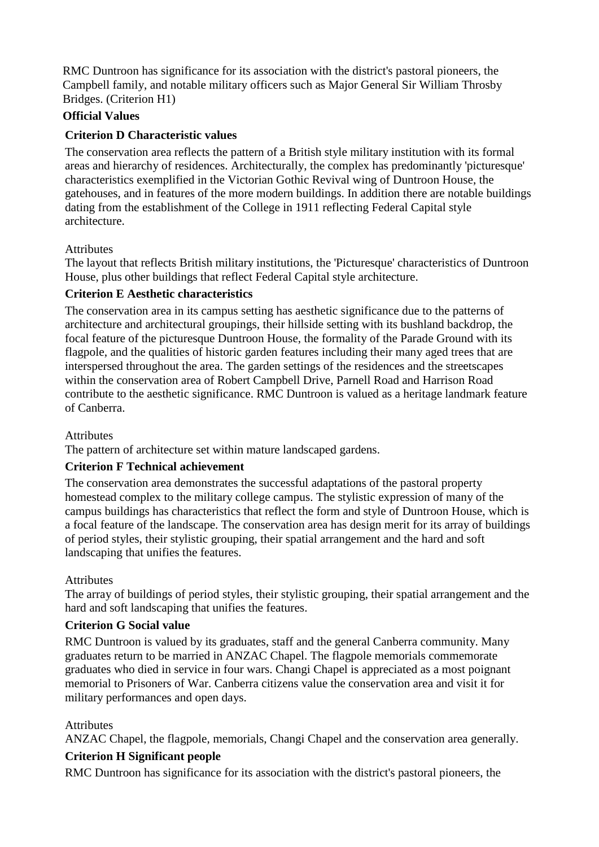RMC Duntroon has significance for its association with the district's pastoral pioneers, the Campbell family, and notable military officers such as Major General Sir William Throsby Bridges. (Criterion H1)

# **Official Values**

# **Criterion D Characteristic values**

The conservation area reflects the pattern of a British style military institution with its formal areas and hierarchy of residences. Architecturally, the complex has predominantly 'picturesque' characteristics exemplified in the Victorian Gothic Revival wing of Duntroon House, the gatehouses, and in features of the more modern buildings. In addition there are notable buildings dating from the establishment of the College in 1911 reflecting Federal Capital style architecture.

# Attributes

The layout that reflects British military institutions, the 'Picturesque' characteristics of Duntroon House, plus other buildings that reflect Federal Capital style architecture.

### **Criterion E Aesthetic characteristics**

The conservation area in its campus setting has aesthetic significance due to the patterns of architecture and architectural groupings, their hillside setting with its bushland backdrop, the focal feature of the picturesque Duntroon House, the formality of the Parade Ground with its flagpole, and the qualities of historic garden features including their many aged trees that are interspersed throughout the area. The garden settings of the residences and the streetscapes within the conservation area of Robert Campbell Drive, Parnell Road and Harrison Road contribute to the aesthetic significance. RMC Duntroon is valued as a heritage landmark feature of Canberra.

### **Attributes**

The pattern of architecture set within mature landscaped gardens.

# **Criterion F Technical achievement**

The conservation area demonstrates the successful adaptations of the pastoral property homestead complex to the military college campus. The stylistic expression of many of the campus buildings has characteristics that reflect the form and style of Duntroon House, which is a focal feature of the landscape. The conservation area has design merit for its array of buildings of period styles, their stylistic grouping, their spatial arrangement and the hard and soft landscaping that unifies the features.

### Attributes

The array of buildings of period styles, their stylistic grouping, their spatial arrangement and the hard and soft landscaping that unifies the features.

# **Criterion G Social value**

RMC Duntroon is valued by its graduates, staff and the general Canberra community. Many graduates return to be married in ANZAC Chapel. The flagpole memorials commemorate graduates who died in service in four wars. Changi Chapel is appreciated as a most poignant memorial to Prisoners of War. Canberra citizens value the conservation area and visit it for military performances and open days.

# **Attributes**

ANZAC Chapel, the flagpole, memorials, Changi Chapel and the conservation area generally.

# **Criterion H Significant people**

RMC Duntroon has significance for its association with the district's pastoral pioneers, the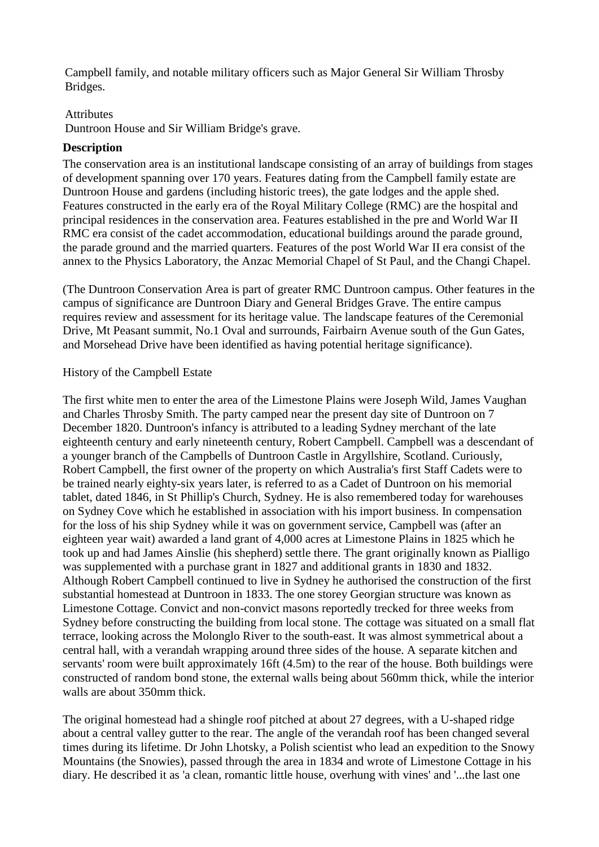Campbell family, and notable military officers such as Major General Sir William Throsby Bridges.

#### Attributes

Duntroon House and Sir William Bridge's grave.

### **Description**

The conservation area is an institutional landscape consisting of an array of buildings from stages of development spanning over 170 years. Features dating from the Campbell family estate are Duntroon House and gardens (including historic trees), the gate lodges and the apple shed. Features constructed in the early era of the Royal Military College (RMC) are the hospital and principal residences in the conservation area. Features established in the pre and World War II RMC era consist of the cadet accommodation, educational buildings around the parade ground, the parade ground and the married quarters. Features of the post World War II era consist of the annex to the Physics Laboratory, the Anzac Memorial Chapel of St Paul, and the Changi Chapel.

(The Duntroon Conservation Area is part of greater RMC Duntroon campus. Other features in the campus of significance are Duntroon Diary and General Bridges Grave. The entire campus requires review and assessment for its heritage value. The landscape features of the Ceremonial Drive, Mt Peasant summit, No.1 Oval and surrounds, Fairbairn Avenue south of the Gun Gates, and Morsehead Drive have been identified as having potential heritage significance).

### History of the Campbell Estate

The first white men to enter the area of the Limestone Plains were Joseph Wild, James Vaughan and Charles Throsby Smith. The party camped near the present day site of Duntroon on 7 December 1820. Duntroon's infancy is attributed to a leading Sydney merchant of the late eighteenth century and early nineteenth century, Robert Campbell. Campbell was a descendant of a younger branch of the Campbells of Duntroon Castle in Argyllshire, Scotland. Curiously, Robert Campbell, the first owner of the property on which Australia's first Staff Cadets were to be trained nearly eighty-six years later, is referred to as a Cadet of Duntroon on his memorial tablet, dated 1846, in St Phillip's Church, Sydney. He is also remembered today for warehouses on Sydney Cove which he established in association with his import business. In compensation for the loss of his ship Sydney while it was on government service, Campbell was (after an eighteen year wait) awarded a land grant of 4,000 acres at Limestone Plains in 1825 which he took up and had James Ainslie (his shepherd) settle there. The grant originally known as Pialligo was supplemented with a purchase grant in 1827 and additional grants in 1830 and 1832. Although Robert Campbell continued to live in Sydney he authorised the construction of the first substantial homestead at Duntroon in 1833. The one storey Georgian structure was known as Limestone Cottage. Convict and non-convict masons reportedly trecked for three weeks from Sydney before constructing the building from local stone. The cottage was situated on a small flat terrace, looking across the Molonglo River to the south-east. It was almost symmetrical about a central hall, with a verandah wrapping around three sides of the house. A separate kitchen and servants' room were built approximately 16ft (4.5m) to the rear of the house. Both buildings were constructed of random bond stone, the external walls being about 560mm thick, while the interior walls are about 350mm thick.

The original homestead had a shingle roof pitched at about 27 degrees, with a U-shaped ridge about a central valley gutter to the rear. The angle of the verandah roof has been changed several times during its lifetime. Dr John Lhotsky, a Polish scientist who lead an expedition to the Snowy Mountains (the Snowies), passed through the area in 1834 and wrote of Limestone Cottage in his diary. He described it as 'a clean, romantic little house, overhung with vines' and '...the last one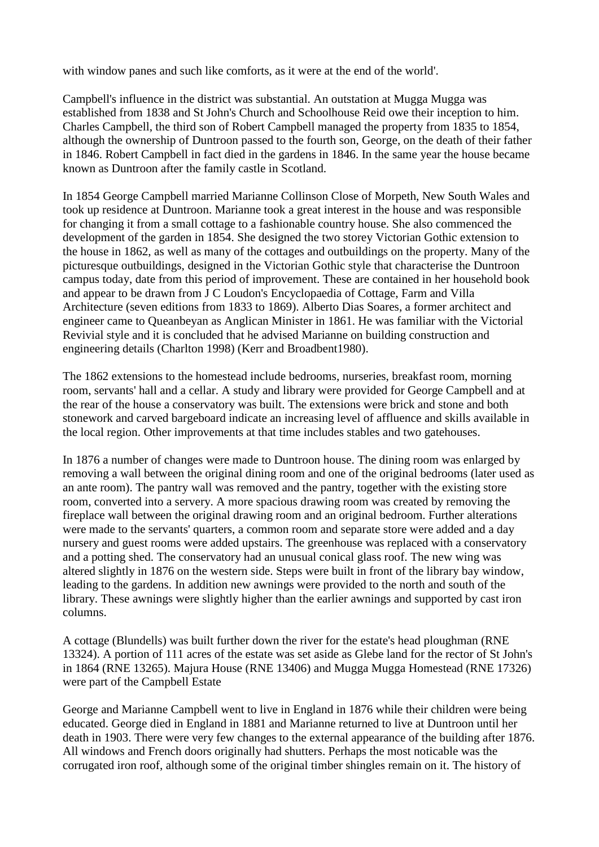with window panes and such like comforts, as it were at the end of the world'.

Campbell's influence in the district was substantial. An outstation at Mugga Mugga was established from 1838 and St John's Church and Schoolhouse Reid owe their inception to him. Charles Campbell, the third son of Robert Campbell managed the property from 1835 to 1854, although the ownership of Duntroon passed to the fourth son, George, on the death of their father in 1846. Robert Campbell in fact died in the gardens in 1846. In the same year the house became known as Duntroon after the family castle in Scotland.

In 1854 George Campbell married Marianne Collinson Close of Morpeth, New South Wales and took up residence at Duntroon. Marianne took a great interest in the house and was responsible for changing it from a small cottage to a fashionable country house. She also commenced the development of the garden in 1854. She designed the two storey Victorian Gothic extension to the house in 1862, as well as many of the cottages and outbuildings on the property. Many of the picturesque outbuildings, designed in the Victorian Gothic style that characterise the Duntroon campus today, date from this period of improvement. These are contained in her household book and appear to be drawn from J C Loudon's Encyclopaedia of Cottage, Farm and Villa Architecture (seven editions from 1833 to 1869). Alberto Dias Soares, a former architect and engineer came to Queanbeyan as Anglican Minister in 1861. He was familiar with the Victorial Revivial style and it is concluded that he advised Marianne on building construction and engineering details (Charlton 1998) (Kerr and Broadbent1980).

The 1862 extensions to the homestead include bedrooms, nurseries, breakfast room, morning room, servants' hall and a cellar. A study and library were provided for George Campbell and at the rear of the house a conservatory was built. The extensions were brick and stone and both stonework and carved bargeboard indicate an increasing level of affluence and skills available in the local region. Other improvements at that time includes stables and two gatehouses.

In 1876 a number of changes were made to Duntroon house. The dining room was enlarged by removing a wall between the original dining room and one of the original bedrooms (later used as an ante room). The pantry wall was removed and the pantry, together with the existing store room, converted into a servery. A more spacious drawing room was created by removing the fireplace wall between the original drawing room and an original bedroom. Further alterations were made to the servants' quarters, a common room and separate store were added and a day nursery and guest rooms were added upstairs. The greenhouse was replaced with a conservatory and a potting shed. The conservatory had an unusual conical glass roof. The new wing was altered slightly in 1876 on the western side. Steps were built in front of the library bay window, leading to the gardens. In addition new awnings were provided to the north and south of the library. These awnings were slightly higher than the earlier awnings and supported by cast iron columns.

A cottage (Blundells) was built further down the river for the estate's head ploughman (RNE 13324). A portion of 111 acres of the estate was set aside as Glebe land for the rector of St John's in 1864 (RNE 13265). Majura House (RNE 13406) and Mugga Mugga Homestead (RNE 17326) were part of the Campbell Estate

George and Marianne Campbell went to live in England in 1876 while their children were being educated. George died in England in 1881 and Marianne returned to live at Duntroon until her death in 1903. There were very few changes to the external appearance of the building after 1876. All windows and French doors originally had shutters. Perhaps the most noticable was the corrugated iron roof, although some of the original timber shingles remain on it. The history of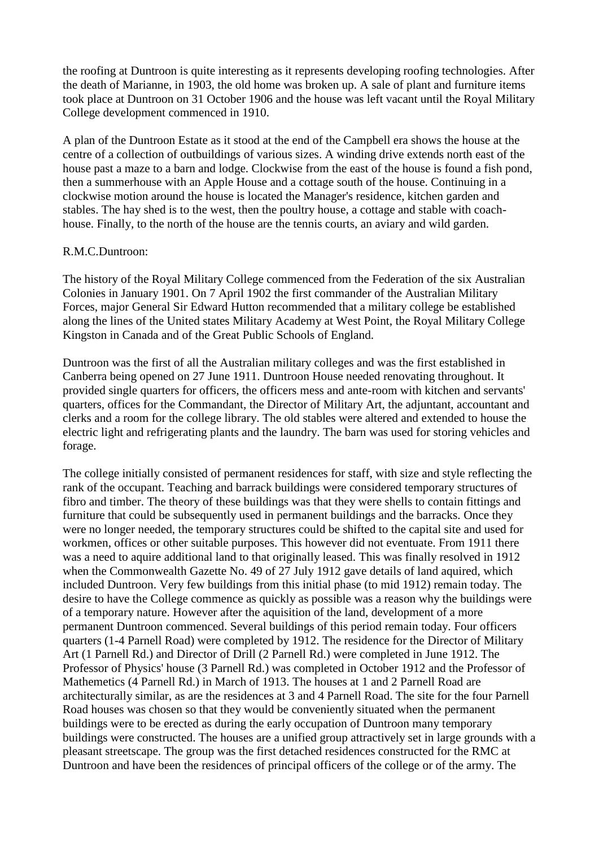the roofing at Duntroon is quite interesting as it represents developing roofing technologies. After the death of Marianne, in 1903, the old home was broken up. A sale of plant and furniture items took place at Duntroon on 31 October 1906 and the house was left vacant until the Royal Military College development commenced in 1910.

A plan of the Duntroon Estate as it stood at the end of the Campbell era shows the house at the centre of a collection of outbuildings of various sizes. A winding drive extends north east of the house past a maze to a barn and lodge. Clockwise from the east of the house is found a fish pond, then a summerhouse with an Apple House and a cottage south of the house. Continuing in a clockwise motion around the house is located the Manager's residence, kitchen garden and stables. The hay shed is to the west, then the poultry house, a cottage and stable with coachhouse. Finally, to the north of the house are the tennis courts, an aviary and wild garden.

#### R.M.C.Duntroon:

The history of the Royal Military College commenced from the Federation of the six Australian Colonies in January 1901. On 7 April 1902 the first commander of the Australian Military Forces, major General Sir Edward Hutton recommended that a military college be established along the lines of the United states Military Academy at West Point, the Royal Military College Kingston in Canada and of the Great Public Schools of England.

Duntroon was the first of all the Australian military colleges and was the first established in Canberra being opened on 27 June 1911. Duntroon House needed renovating throughout. It provided single quarters for officers, the officers mess and ante-room with kitchen and servants' quarters, offices for the Commandant, the Director of Military Art, the adjuntant, accountant and clerks and a room for the college library. The old stables were altered and extended to house the electric light and refrigerating plants and the laundry. The barn was used for storing vehicles and forage.

The college initially consisted of permanent residences for staff, with size and style reflecting the rank of the occupant. Teaching and barrack buildings were considered temporary structures of fibro and timber. The theory of these buildings was that they were shells to contain fittings and furniture that could be subsequently used in permanent buildings and the barracks. Once they were no longer needed, the temporary structures could be shifted to the capital site and used for workmen, offices or other suitable purposes. This however did not eventuate. From 1911 there was a need to aquire additional land to that originally leased. This was finally resolved in 1912 when the Commonwealth Gazette No. 49 of 27 July 1912 gave details of land aquired, which included Duntroon. Very few buildings from this initial phase (to mid 1912) remain today. The desire to have the College commence as quickly as possible was a reason why the buildings were of a temporary nature. However after the aquisition of the land, development of a more permanent Duntroon commenced. Several buildings of this period remain today. Four officers quarters (1-4 Parnell Road) were completed by 1912. The residence for the Director of Military Art (1 Parnell Rd.) and Director of Drill (2 Parnell Rd.) were completed in June 1912. The Professor of Physics' house (3 Parnell Rd.) was completed in October 1912 and the Professor of Mathemetics (4 Parnell Rd.) in March of 1913. The houses at 1 and 2 Parnell Road are architecturally similar, as are the residences at 3 and 4 Parnell Road. The site for the four Parnell Road houses was chosen so that they would be conveniently situated when the permanent buildings were to be erected as during the early occupation of Duntroon many temporary buildings were constructed. The houses are a unified group attractively set in large grounds with a pleasant streetscape. The group was the first detached residences constructed for the RMC at Duntroon and have been the residences of principal officers of the college or of the army. The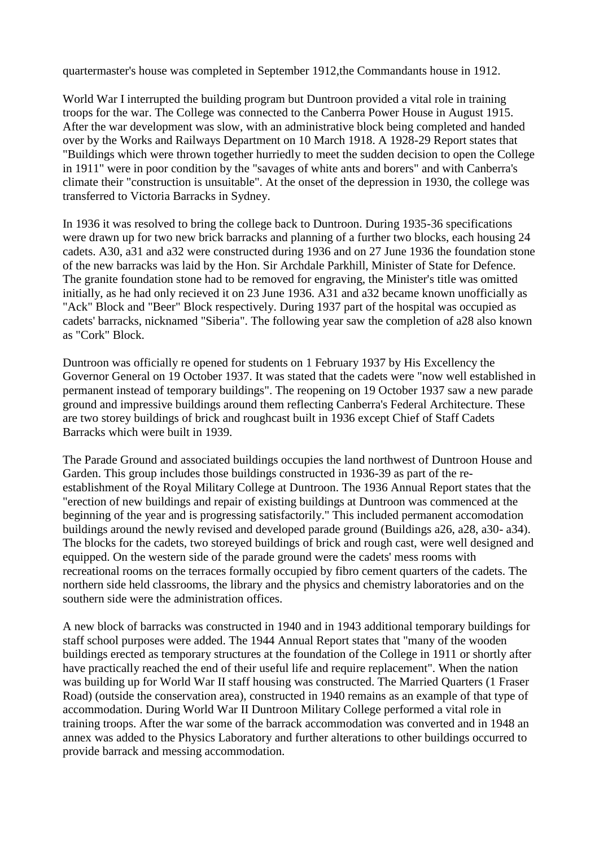quartermaster's house was completed in September 1912, the Commandants house in 1912.

World War I interrupted the building program but Duntroon provided a vital role in training troops for the war. The College was connected to the Canberra Power House in August 1915. After the war development was slow, with an administrative block being completed and handed over by the Works and Railways Department on 10 March 1918. A 1928-29 Report states that "Buildings which were thrown together hurriedly to meet the sudden decision to open the College in 1911" were in poor condition by the "savages of white ants and borers" and with Canberra's climate their "construction is unsuitable". At the onset of the depression in 1930, the college was transferred to Victoria Barracks in Sydney.

In 1936 it was resolved to bring the college back to Duntroon. During 1935-36 specifications were drawn up for two new brick barracks and planning of a further two blocks, each housing 24 cadets. A30, a31 and a32 were constructed during 1936 and on 27 June 1936 the foundation stone of the new barracks was laid by the Hon. Sir Archdale Parkhill, Minister of State for Defence. The granite foundation stone had to be removed for engraving, the Minister's title was omitted initially, as he had only recieved it on 23 June 1936. A31 and a32 became known unofficially as "Ack" Block and "Beer" Block respectively. During 1937 part of the hospital was occupied as cadets' barracks, nicknamed "Siberia". The following year saw the completion of a28 also known as "Cork" Block.

Duntroon was officially re opened for students on 1 February 1937 by His Excellency the Governor General on 19 October 1937. It was stated that the cadets were "now well established in permanent instead of temporary buildings". The reopening on 19 October 1937 saw a new parade ground and impressive buildings around them reflecting Canberra's Federal Architecture. These are two storey buildings of brick and roughcast built in 1936 except Chief of Staff Cadets Barracks which were built in 1939.

The Parade Ground and associated buildings occupies the land northwest of Duntroon House and Garden. This group includes those buildings constructed in 1936-39 as part of the reestablishment of the Royal Military College at Duntroon. The 1936 Annual Report states that the "erection of new buildings and repair of existing buildings at Duntroon was commenced at the beginning of the year and is progressing satisfactorily." This included permanent accomodation buildings around the newly revised and developed parade ground (Buildings a26, a28, a30- a34). The blocks for the cadets, two storeyed buildings of brick and rough cast, were well designed and equipped. On the western side of the parade ground were the cadets' mess rooms with recreational rooms on the terraces formally occupied by fibro cement quarters of the cadets. The northern side held classrooms, the library and the physics and chemistry laboratories and on the southern side were the administration offices.

A new block of barracks was constructed in 1940 and in 1943 additional temporary buildings for staff school purposes were added. The 1944 Annual Report states that "many of the wooden buildings erected as temporary structures at the foundation of the College in 1911 or shortly after have practically reached the end of their useful life and require replacement". When the nation was building up for World War II staff housing was constructed. The Married Quarters (1 Fraser Road) (outside the conservation area), constructed in 1940 remains as an example of that type of accommodation. During World War II Duntroon Military College performed a vital role in training troops. After the war some of the barrack accommodation was converted and in 1948 an annex was added to the Physics Laboratory and further alterations to other buildings occurred to provide barrack and messing accommodation.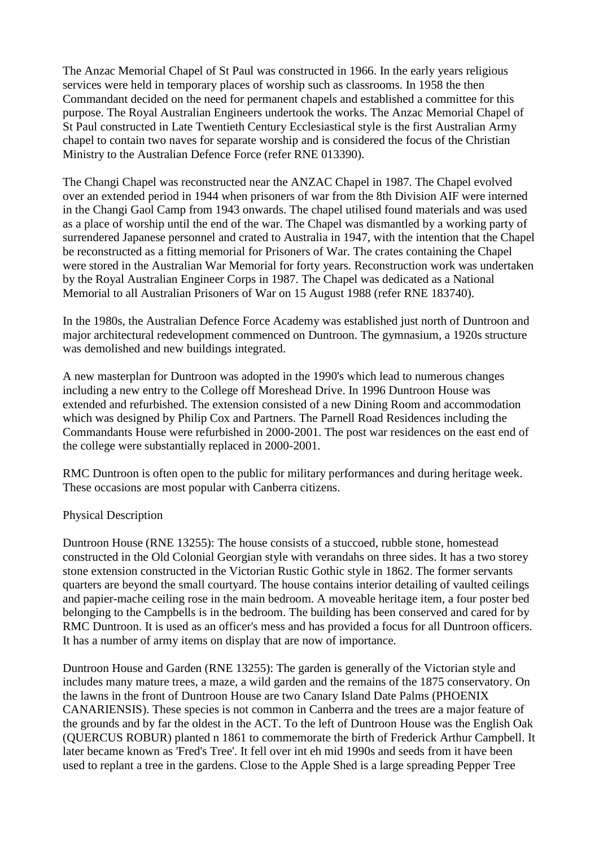The Anzac Memorial Chapel of St Paul was constructed in 1966. In the early years religious services were held in temporary places of worship such as classrooms. In 1958 the then Commandant decided on the need for permanent chapels and established a committee for this purpose. The Royal Australian Engineers undertook the works. The Anzac Memorial Chapel of St Paul constructed in Late Twentieth Century Ecclesiastical style is the first Australian Army chapel to contain two naves for separate worship and is considered the focus of the Christian Ministry to the Australian Defence Force (refer RNE 013390).

The Changi Chapel was reconstructed near the ANZAC Chapel in 1987. The Chapel evolved over an extended period in 1944 when prisoners of war from the 8th Division AIF were interned in the Changi Gaol Camp from 1943 onwards. The chapel utilised found materials and was used as a place of worship until the end of the war. The Chapel was dismantled by a working party of surrendered Japanese personnel and crated to Australia in 1947, with the intention that the Chapel be reconstructed as a fitting memorial for Prisoners of War. The crates containing the Chapel were stored in the Australian War Memorial for forty years. Reconstruction work was undertaken by the Royal Australian Engineer Corps in 1987. The Chapel was dedicated as a National Memorial to all Australian Prisoners of War on 15 August 1988 (refer RNE 183740).

In the 1980s, the Australian Defence Force Academy was established just north of Duntroon and major architectural redevelopment commenced on Duntroon. The gymnasium, a 1920s structure was demolished and new buildings integrated.

A new masterplan for Duntroon was adopted in the 1990's which lead to numerous changes including a new entry to the College off Moreshead Drive. In 1996 Duntroon House was extended and refurbished. The extension consisted of a new Dining Room and accommodation which was designed by Philip Cox and Partners. The Parnell Road Residences including the Commandants House were refurbished in 2000-2001. The post war residences on the east end of the college were substantially replaced in 2000-2001.

RMC Duntroon is often open to the public for military performances and during heritage week. These occasions are most popular with Canberra citizens.

### Physical Description

Duntroon House (RNE 13255): The house consists of a stuccoed, rubble stone, homestead constructed in the Old Colonial Georgian style with verandahs on three sides. It has a two storey stone extension constructed in the Victorian Rustic Gothic style in 1862. The former servants quarters are beyond the small courtyard. The house contains interior detailing of vaulted ceilings and papier-mache ceiling rose in the main bedroom. A moveable heritage item, a four poster bed belonging to the Campbells is in the bedroom. The building has been conserved and cared for by RMC Duntroon. It is used as an officer's mess and has provided a focus for all Duntroon officers. It has a number of army items on display that are now of importance.

Duntroon House and Garden (RNE 13255): The garden is generally of the Victorian style and includes many mature trees, a maze, a wild garden and the remains of the 1875 conservatory. On the lawns in the front of Duntroon House are two Canary Island Date Palms (PHOENIX CANARIENSIS). These species is not common in Canberra and the trees are a major feature of the grounds and by far the oldest in the ACT. To the left of Duntroon House was the English Oak (QUERCUS ROBUR) planted n 1861 to commemorate the birth of Frederick Arthur Campbell. It later became known as 'Fred's Tree'. It fell over int eh mid 1990s and seeds from it have been used to replant a tree in the gardens. Close to the Apple Shed is a large spreading Pepper Tree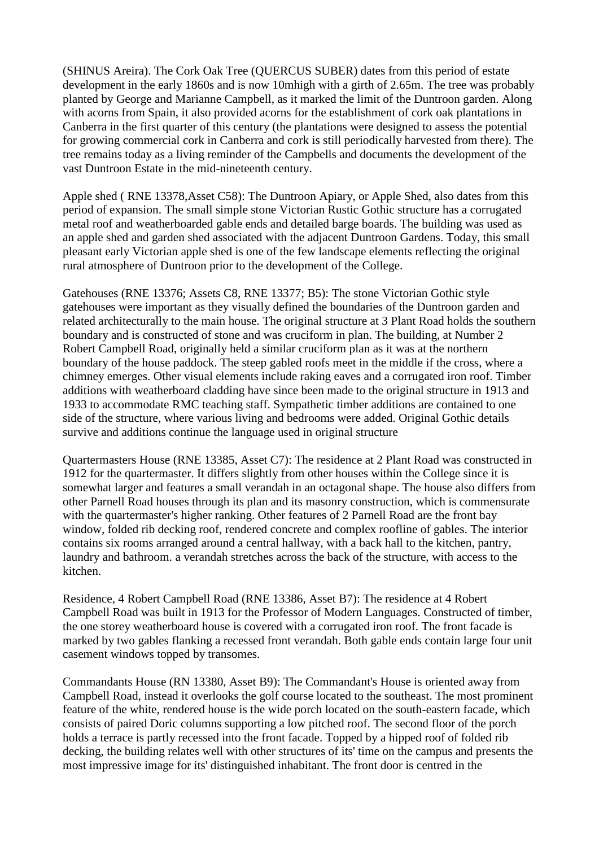(SHINUS Areira). The Cork Oak Tree (QUERCUS SUBER) dates from this period of estate development in the early 1860s and is now 10mhigh with a girth of 2.65m. The tree was probably planted by George and Marianne Campbell, as it marked the limit of the Duntroon garden. Along with acorns from Spain, it also provided acorns for the establishment of cork oak plantations in Canberra in the first quarter of this century (the plantations were designed to assess the potential for growing commercial cork in Canberra and cork is still periodically harvested from there). The tree remains today as a living reminder of the Campbells and documents the development of the vast Duntroon Estate in the mid-nineteenth century.

Apple shed ( RNE 13378,Asset C58): The Duntroon Apiary, or Apple Shed, also dates from this period of expansion. The small simple stone Victorian Rustic Gothic structure has a corrugated metal roof and weatherboarded gable ends and detailed barge boards. The building was used as an apple shed and garden shed associated with the adjacent Duntroon Gardens. Today, this small pleasant early Victorian apple shed is one of the few landscape elements reflecting the original rural atmosphere of Duntroon prior to the development of the College.

Gatehouses (RNE 13376; Assets C8, RNE 13377; B5): The stone Victorian Gothic style gatehouses were important as they visually defined the boundaries of the Duntroon garden and related architecturally to the main house. The original structure at 3 Plant Road holds the southern boundary and is constructed of stone and was cruciform in plan. The building, at Number 2 Robert Campbell Road, originally held a similar cruciform plan as it was at the northern boundary of the house paddock. The steep gabled roofs meet in the middle if the cross, where a chimney emerges. Other visual elements include raking eaves and a corrugated iron roof. Timber additions with weatherboard cladding have since been made to the original structure in 1913 and 1933 to accommodate RMC teaching staff. Sympathetic timber additions are contained to one side of the structure, where various living and bedrooms were added. Original Gothic details survive and additions continue the language used in original structure

Quartermasters House (RNE 13385, Asset C7): The residence at 2 Plant Road was constructed in 1912 for the quartermaster. It differs slightly from other houses within the College since it is somewhat larger and features a small verandah in an octagonal shape. The house also differs from other Parnell Road houses through its plan and its masonry construction, which is commensurate with the quartermaster's higher ranking. Other features of 2 Parnell Road are the front bay window, folded rib decking roof, rendered concrete and complex roofline of gables. The interior contains six rooms arranged around a central hallway, with a back hall to the kitchen, pantry, laundry and bathroom. a verandah stretches across the back of the structure, with access to the kitchen.

Residence, 4 Robert Campbell Road (RNE 13386, Asset B7): The residence at 4 Robert Campbell Road was built in 1913 for the Professor of Modern Languages. Constructed of timber, the one storey weatherboard house is covered with a corrugated iron roof. The front facade is marked by two gables flanking a recessed front verandah. Both gable ends contain large four unit casement windows topped by transomes.

Commandants House (RN 13380, Asset B9): The Commandant's House is oriented away from Campbell Road, instead it overlooks the golf course located to the southeast. The most prominent feature of the white, rendered house is the wide porch located on the south-eastern facade, which consists of paired Doric columns supporting a low pitched roof. The second floor of the porch holds a terrace is partly recessed into the front facade. Topped by a hipped roof of folded rib decking, the building relates well with other structures of its' time on the campus and presents the most impressive image for its' distinguished inhabitant. The front door is centred in the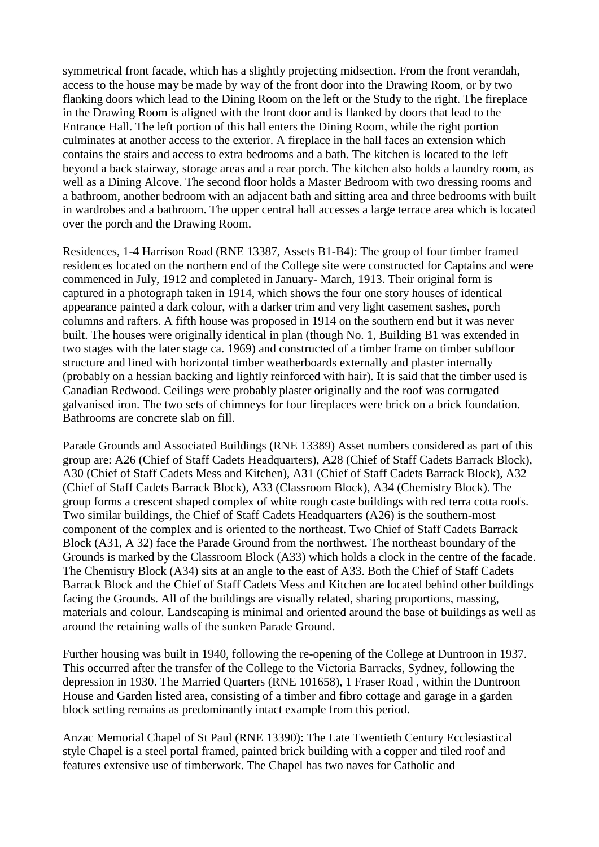symmetrical front facade, which has a slightly projecting midsection. From the front verandah, access to the house may be made by way of the front door into the Drawing Room, or by two flanking doors which lead to the Dining Room on the left or the Study to the right. The fireplace in the Drawing Room is aligned with the front door and is flanked by doors that lead to the Entrance Hall. The left portion of this hall enters the Dining Room, while the right portion culminates at another access to the exterior. A fireplace in the hall faces an extension which contains the stairs and access to extra bedrooms and a bath. The kitchen is located to the left beyond a back stairway, storage areas and a rear porch. The kitchen also holds a laundry room, as well as a Dining Alcove. The second floor holds a Master Bedroom with two dressing rooms and a bathroom, another bedroom with an adjacent bath and sitting area and three bedrooms with built in wardrobes and a bathroom. The upper central hall accesses a large terrace area which is located over the porch and the Drawing Room.

Residences, 1-4 Harrison Road (RNE 13387, Assets B1-B4): The group of four timber framed residences located on the northern end of the College site were constructed for Captains and were commenced in July, 1912 and completed in January- March, 1913. Their original form is captured in a photograph taken in 1914, which shows the four one story houses of identical appearance painted a dark colour, with a darker trim and very light casement sashes, porch columns and rafters. A fifth house was proposed in 1914 on the southern end but it was never built. The houses were originally identical in plan (though No. 1, Building B1 was extended in two stages with the later stage ca. 1969) and constructed of a timber frame on timber subfloor structure and lined with horizontal timber weatherboards externally and plaster internally (probably on a hessian backing and lightly reinforced with hair). It is said that the timber used is Canadian Redwood. Ceilings were probably plaster originally and the roof was corrugated galvanised iron. The two sets of chimneys for four fireplaces were brick on a brick foundation. Bathrooms are concrete slab on fill.

Parade Grounds and Associated Buildings (RNE 13389) Asset numbers considered as part of this group are: A26 (Chief of Staff Cadets Headquarters), A28 (Chief of Staff Cadets Barrack Block), A30 (Chief of Staff Cadets Mess and Kitchen), A31 (Chief of Staff Cadets Barrack Block), A32 (Chief of Staff Cadets Barrack Block), A33 (Classroom Block), A34 (Chemistry Block). The group forms a crescent shaped complex of white rough caste buildings with red terra cotta roofs. Two similar buildings, the Chief of Staff Cadets Headquarters (A26) is the southern-most component of the complex and is oriented to the northeast. Two Chief of Staff Cadets Barrack Block (A31, A 32) face the Parade Ground from the northwest. The northeast boundary of the Grounds is marked by the Classroom Block (A33) which holds a clock in the centre of the facade. The Chemistry Block (A34) sits at an angle to the east of A33. Both the Chief of Staff Cadets Barrack Block and the Chief of Staff Cadets Mess and Kitchen are located behind other buildings facing the Grounds. All of the buildings are visually related, sharing proportions, massing, materials and colour. Landscaping is minimal and oriented around the base of buildings as well as around the retaining walls of the sunken Parade Ground.

Further housing was built in 1940, following the re-opening of the College at Duntroon in 1937. This occurred after the transfer of the College to the Victoria Barracks, Sydney, following the depression in 1930. The Married Quarters (RNE 101658), 1 Fraser Road , within the Duntroon House and Garden listed area, consisting of a timber and fibro cottage and garage in a garden block setting remains as predominantly intact example from this period.

Anzac Memorial Chapel of St Paul (RNE 13390): The Late Twentieth Century Ecclesiastical style Chapel is a steel portal framed, painted brick building with a copper and tiled roof and features extensive use of timberwork. The Chapel has two naves for Catholic and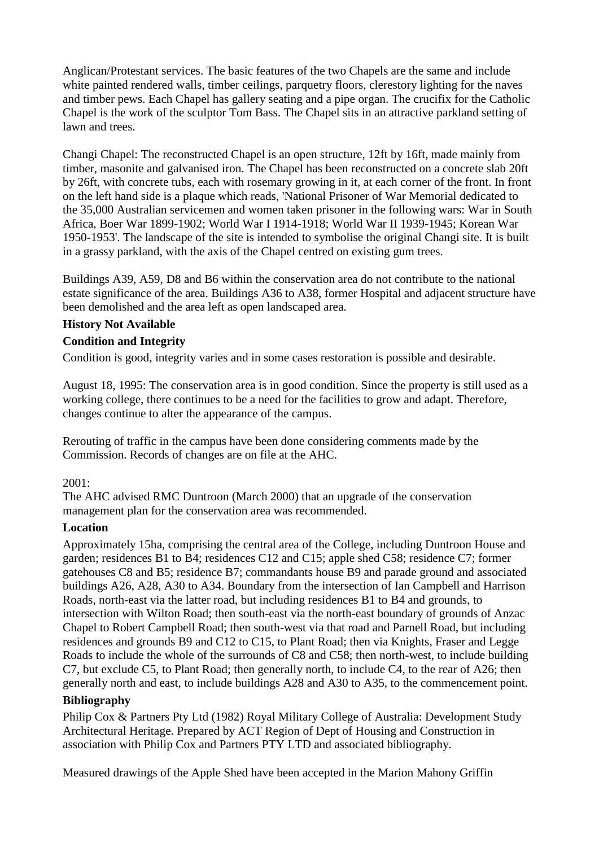Anglican/Protestant services. The basic features of the two Chapels are the same and include white painted rendered walls, timber ceilings, parquetry floors, clerestory lighting for the naves and timber pews. Each Chapel has gallery seating and a pipe organ. The crucifix for the Catholic Chapel is the work of the sculptor Tom Bass. The Chapel sits in an attractive parkland setting of lawn and trees.

Changi Chapel: The reconstructed Chapel is an open structure, 12ft by 16ft, made mainly from timber, masonite and galvanised iron. The Chapel has been reconstructed on a concrete slab 20ft by 26ft, with concrete tubs, each with rosemary growing in it, at each corner of the front. In front on the left hand side is a plaque which reads, 'National Prisoner of War Memorial dedicated to the 35,000 Australian servicemen and women taken prisoner in the following wars: War in South Africa, Boer War 1899-1902; World War I 1914-1918; World War II 1939-1945; Korean War 1950-1953'. The landscape of the site is intended to symbolise the original Changi site. It is built in a grassy parkland, with the axis of the Chapel centred on existing gum trees.

Buildings A39, A59, D8 and B6 within the conservation area do not contribute to the national estate significance of the area. Buildings A36 to A38, former Hospital and adjacent structure have been demolished and the area left as open landscaped area.

# **History Not Available**

### **Condition and Integrity**

Condition is good, integrity varies and in some cases restoration is possible and desirable.

August 18, 1995: The conservation area is in good condition. Since the property is still used as a working college, there continues to be a need for the facilities to grow and adapt. Therefore, changes continue to alter the appearance of the campus.

Rerouting of traffic in the campus have been done considering comments made by the Commission. Records of changes are on file at the AHC.

### 2001:

The AHC advised RMC Duntroon (March 2000) that an upgrade of the conservation management plan for the conservation area was recommended.

### **Location**

Approximately 15ha, comprising the central area of the College, including Duntroon House and garden; residences B1 to B4; residences C12 and C15; apple shed C58; residence C7; former gatehouses C8 and B5; residence B7; commandants house B9 and parade ground and associated buildings A26, A28, A30 to A34. Boundary from the intersection of Ian Campbell and Harrison Roads, north-east via the latter road, but including residences B1 to B4 and grounds, to intersection with Wilton Road; then south-east via the north-east boundary of grounds of Anzac Chapel to Robert Campbell Road; then south-west via that road and Parnell Road, but including residences and grounds B9 and C12 to C15, to Plant Road; then via Knights, Fraser and Legge Roads to include the whole of the surrounds of C8 and C58; then north-west, to include building C7, but exclude C5, to Plant Road; then generally north, to include C4, to the rear of A26; then generally north and east, to include buildings A28 and A30 to A35, to the commencement point.

# **Bibliography**

Philip Cox & Partners Pty Ltd (1982) Royal Military College of Australia: Development Study Architectural Heritage. Prepared by ACT Region of Dept of Housing and Construction in association with Philip Cox and Partners PTY LTD and associated bibliography.

Measured drawings of the Apple Shed have been accepted in the Marion Mahony Griffin